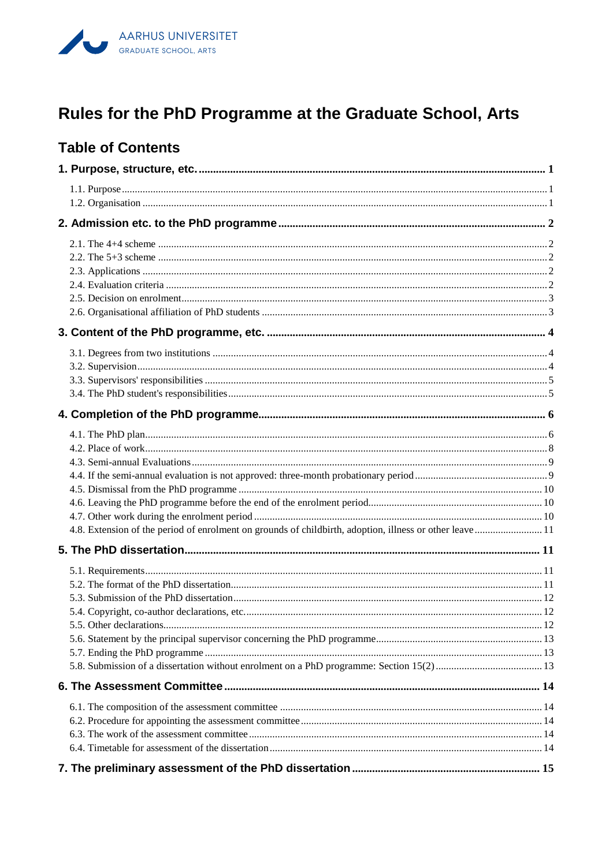

# Rules for the PhD Programme at the Graduate School, Arts

# **Table of Contents**

| 4.8. Extension of the period of enrolment on grounds of childbirth, adoption, illness or other leave  11 |  |
|----------------------------------------------------------------------------------------------------------|--|
|                                                                                                          |  |
|                                                                                                          |  |
|                                                                                                          |  |
|                                                                                                          |  |
|                                                                                                          |  |
|                                                                                                          |  |
|                                                                                                          |  |
|                                                                                                          |  |
|                                                                                                          |  |
|                                                                                                          |  |
|                                                                                                          |  |
|                                                                                                          |  |
|                                                                                                          |  |
|                                                                                                          |  |
|                                                                                                          |  |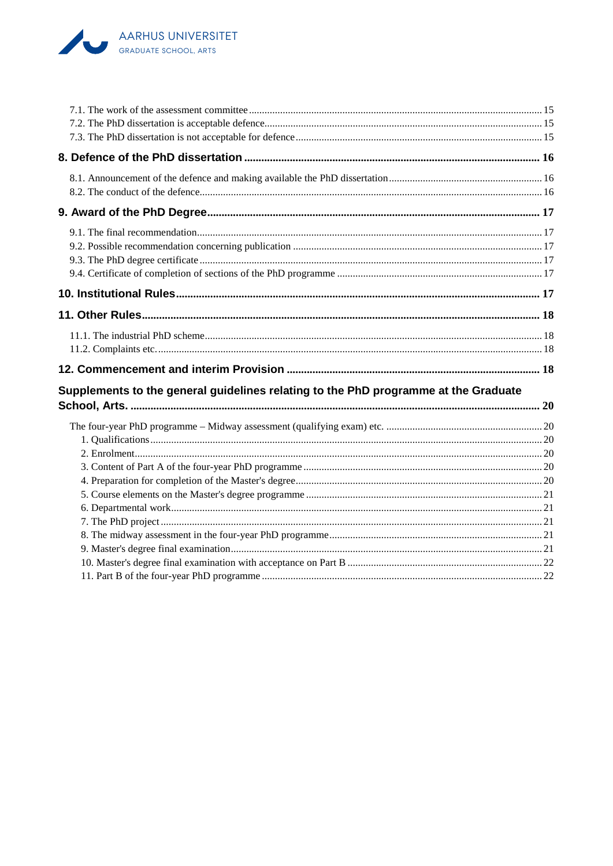

| Supplements to the general guidelines relating to the PhD programme at the Graduate |  |
|-------------------------------------------------------------------------------------|--|
|                                                                                     |  |
|                                                                                     |  |
|                                                                                     |  |
|                                                                                     |  |
|                                                                                     |  |
|                                                                                     |  |
|                                                                                     |  |
|                                                                                     |  |
|                                                                                     |  |
|                                                                                     |  |
|                                                                                     |  |
|                                                                                     |  |
|                                                                                     |  |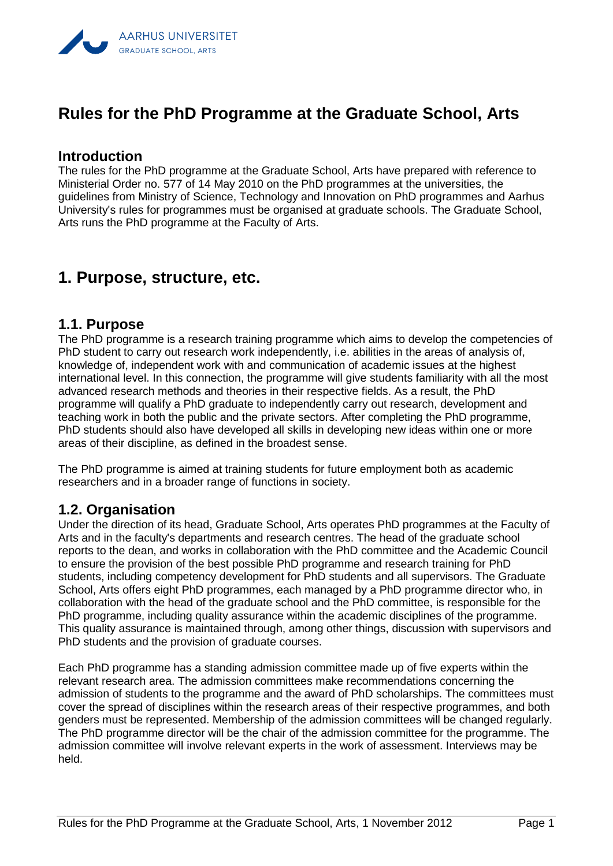

# **Rules for the PhD Programme at the Graduate School, Arts**

#### **Introduction**

The rules for the PhD programme at the Graduate School, Arts have prepared with reference to Ministerial Order no. 577 of 14 May 2010 on the PhD programmes at the universities, the guidelines from Ministry of Science, Technology and Innovation on PhD programmes and Aarhus University's rules for programmes must be organised at graduate schools. The Graduate School, Arts runs the PhD programme at the Faculty of Arts.

# <span id="page-2-0"></span>**1. Purpose, structure, etc.**

#### <span id="page-2-1"></span>**1.1. Purpose**

The PhD programme is a research training programme which aims to develop the competencies of PhD student to carry out research work independently, i.e. abilities in the areas of analysis of, knowledge of, independent work with and communication of academic issues at the highest international level. In this connection, the programme will give students familiarity with all the most advanced research methods and theories in their respective fields. As a result, the PhD programme will qualify a PhD graduate to independently carry out research, development and teaching work in both the public and the private sectors. After completing the PhD programme, PhD students should also have developed all skills in developing new ideas within one or more areas of their discipline, as defined in the broadest sense.

The PhD programme is aimed at training students for future employment both as academic researchers and in a broader range of functions in society.

#### <span id="page-2-2"></span>**1.2. Organisation**

Under the direction of its head, Graduate School, Arts operates PhD programmes at the Faculty of Arts and in the faculty's departments and research centres. The head of the graduate school reports to the dean, and works in collaboration with the PhD committee and the Academic Council to ensure the provision of the best possible PhD programme and research training for PhD students, including competency development for PhD students and all supervisors. The Graduate School, Arts offers eight PhD programmes, each managed by a PhD programme director who, in collaboration with the head of the graduate school and the PhD committee, is responsible for the PhD programme, including quality assurance within the academic disciplines of the programme. This quality assurance is maintained through, among other things, discussion with supervisors and PhD students and the provision of graduate courses.

Each PhD programme has a standing admission committee made up of five experts within the relevant research area. The admission committees make recommendations concerning the admission of students to the programme and the award of PhD scholarships. The committees must cover the spread of disciplines within the research areas of their respective programmes, and both genders must be represented. Membership of the admission committees will be changed regularly. The PhD programme director will be the chair of the admission committee for the programme. The admission committee will involve relevant experts in the work of assessment. Interviews may be held.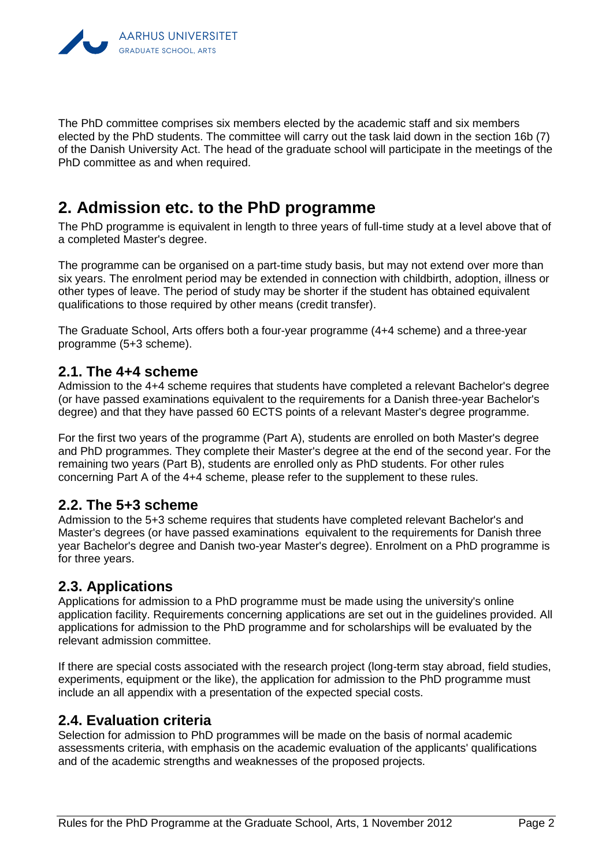

The PhD committee comprises six members elected by the academic staff and six members elected by the PhD students. The committee will carry out the task laid down in the section 16b (7) of the Danish University Act. The head of the graduate school will participate in the meetings of the PhD committee as and when required.

# <span id="page-3-0"></span>**2. Admission etc. to the PhD programme**

The PhD programme is equivalent in length to three years of full-time study at a level above that of a completed Master's degree.

The programme can be organised on a part-time study basis, but may not extend over more than six years. The enrolment period may be extended in connection with childbirth, adoption, illness or other types of leave. The period of study may be shorter if the student has obtained equivalent qualifications to those required by other means (credit transfer).

The Graduate School, Arts offers both a four-year programme (4+4 scheme) and a three-year programme (5+3 scheme).

### <span id="page-3-1"></span>**2.1. The 4+4 scheme**

Admission to the 4+4 scheme requires that students have completed a relevant Bachelor's degree (or have passed examinations equivalent to the requirements for a Danish three-year Bachelor's degree) and that they have passed 60 ECTS points of a relevant Master's degree programme.

For the first two years of the programme (Part A), students are enrolled on both Master's degree and PhD programmes. They complete their Master's degree at the end of the second year. For the remaining two years (Part B), students are enrolled only as PhD students. For other rules concerning Part A of the 4+4 scheme, please refer to the supplement to these rules.

## <span id="page-3-2"></span>**2.2. The 5+3 scheme**

Admission to the 5+3 scheme requires that students have completed relevant Bachelor's and Master's degrees (or have passed examinations equivalent to the requirements for Danish three year Bachelor's degree and Danish two-year Master's degree). Enrolment on a PhD programme is for three years.

## <span id="page-3-3"></span>**2.3. Applications**

Applications for admission to a PhD programme must be made using the university's online application facility. Requirements concerning applications are set out in the guidelines provided. All applications for admission to the PhD programme and for scholarships will be evaluated by the relevant admission committee.

If there are special costs associated with the research project (long-term stay abroad, field studies, experiments, equipment or the like), the application for admission to the PhD programme must include an all appendix with a presentation of the expected special costs.

## <span id="page-3-4"></span>**2.4. Evaluation criteria**

Selection for admission to PhD programmes will be made on the basis of normal academic assessments criteria, with emphasis on the academic evaluation of the applicants' qualifications and of the academic strengths and weaknesses of the proposed projects.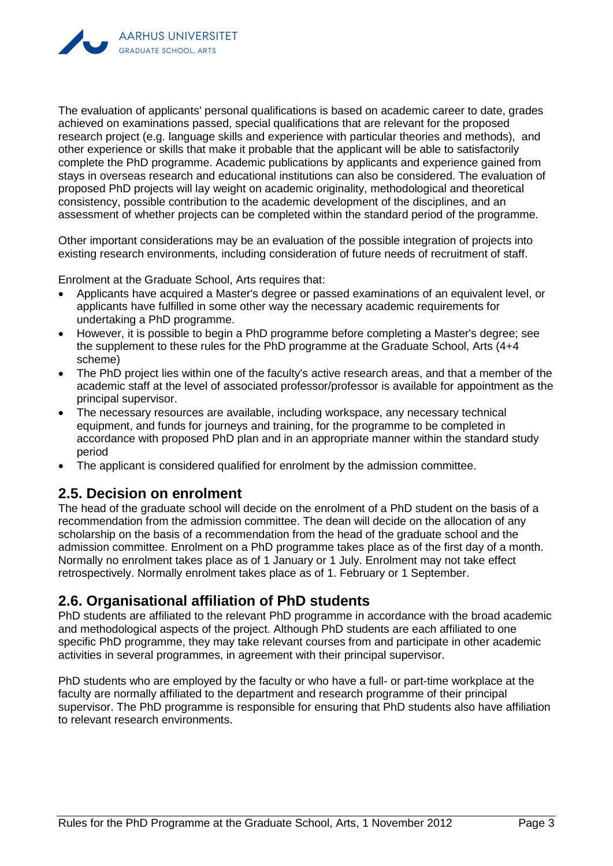

The evaluation of applicants' personal qualifications is based on academic career to date, grades achieved on examinations passed, special qualifications that are relevant for the proposed research project (e.g. language skills and experience with particular theories and methods), and other experience or skills that make it probable that the applicant will be able to satisfactorily complete the PhD programme. Academic publications by applicants and experience gained from stays in overseas research and educational institutions can also be considered. The evaluation of proposed PhD projects will lay weight on academic originality, methodological and theoretical consistency, possible contribution to the academic development of the disciplines, and an assessment of whether projects can be completed within the standard period of the programme.

Other important considerations may be an evaluation of the possible integration of projects into existing research environments, including consideration of future needs of recruitment of staff.

Enrolment at the Graduate School, Arts requires that:

- Applicants have acquired a Master's degree or passed examinations of an equivalent level, or applicants have fulfilled in some other way the necessary academic requirements for undertaking a PhD programme.
- However, it is possible to begin a PhD programme before completing a Master's degree; see the supplement to these rules for the PhD programme at the Graduate School, Arts (4+4 scheme)
- The PhD project lies within one of the faculty's active research areas, and that a member of the academic staff at the level of associated professor/professor is available for appointment as the principal supervisor.
- The necessary resources are available, including workspace, any necessary technical equipment, and funds for journeys and training, for the programme to be completed in accordance with proposed PhD plan and in an appropriate manner within the standard study period
- The applicant is considered qualified for enrolment by the admission committee.

#### <span id="page-4-0"></span>**2.5. Decision on enrolment**

The head of the graduate school will decide on the enrolment of a PhD student on the basis of a recommendation from the admission committee. The dean will decide on the allocation of any scholarship on the basis of a recommendation from the head of the graduate school and the admission committee. Enrolment on a PhD programme takes place as of the first day of a month. Normally no enrolment takes place as of 1 January or 1 July. Enrolment may not take effect retrospectively. Normally enrolment takes place as of 1. February or 1 September.

## <span id="page-4-1"></span>**2.6. Organisational affiliation of PhD students**

PhD students are affiliated to the relevant PhD programme in accordance with the broad academic and methodological aspects of the project. Although PhD students are each affiliated to one specific PhD programme, they may take relevant courses from and participate in other academic activities in several programmes, in agreement with their principal supervisor.

PhD students who are employed by the faculty or who have a full- or part-time workplace at the faculty are normally affiliated to the department and research programme of their principal supervisor. The PhD programme is responsible for ensuring that PhD students also have affiliation to relevant research environments.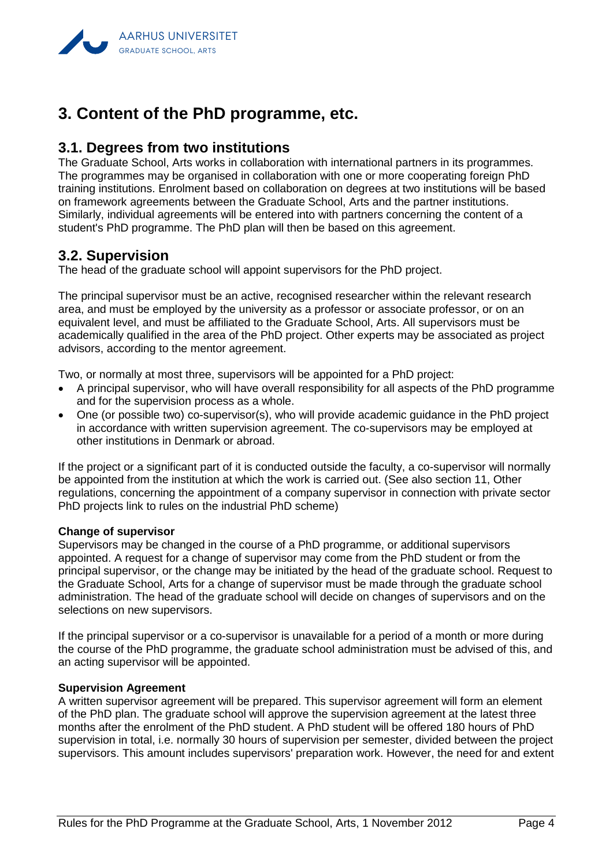

# <span id="page-5-0"></span>**3. Content of the PhD programme, etc.**

## <span id="page-5-1"></span>**3.1. Degrees from two institutions**

The Graduate School, Arts works in collaboration with international partners in its programmes. The programmes may be organised in collaboration with one or more cooperating foreign PhD training institutions. Enrolment based on collaboration on degrees at two institutions will be based on framework agreements between the Graduate School, Arts and the partner institutions. Similarly, individual agreements will be entered into with partners concerning the content of a student's PhD programme. The PhD plan will then be based on this agreement.

### <span id="page-5-2"></span>**3.2. Supervision**

The head of the graduate school will appoint supervisors for the PhD project.

The principal supervisor must be an active, recognised researcher within the relevant research area, and must be employed by the university as a professor or associate professor, or on an equivalent level, and must be affiliated to the Graduate School, Arts. All supervisors must be academically qualified in the area of the PhD project. Other experts may be associated as project advisors, according to the mentor agreement.

Two, or normally at most three, supervisors will be appointed for a PhD project:

- A principal supervisor, who will have overall responsibility for all aspects of the PhD programme and for the supervision process as a whole.
- One (or possible two) co-supervisor(s), who will provide academic guidance in the PhD project in accordance with written supervision agreement. The co-supervisors may be employed at other institutions in Denmark or abroad.

If the project or a significant part of it is conducted outside the faculty, a co-supervisor will normally be appointed from the institution at which the work is carried out. (See also section 11, Other regulations, concerning the appointment of a company supervisor in connection with private sector PhD projects link to rules on the industrial PhD scheme)

#### **Change of supervisor**

Supervisors may be changed in the course of a PhD programme, or additional supervisors appointed. A request for a change of supervisor may come from the PhD student or from the principal supervisor, or the change may be initiated by the head of the graduate school. Request to the Graduate School, Arts for a change of supervisor must be made through the graduate school administration. The head of the graduate school will decide on changes of supervisors and on the selections on new supervisors.

If the principal supervisor or a co-supervisor is unavailable for a period of a month or more during the course of the PhD programme, the graduate school administration must be advised of this, and an acting supervisor will be appointed.

#### **Supervision Agreement**

A written supervisor agreement will be prepared. This supervisor agreement will form an element of the PhD plan. The graduate school will approve the supervision agreement at the latest three months after the enrolment of the PhD student. A PhD student will be offered 180 hours of PhD supervision in total, i.e. normally 30 hours of supervision per semester, divided between the project supervisors. This amount includes supervisors' preparation work. However, the need for and extent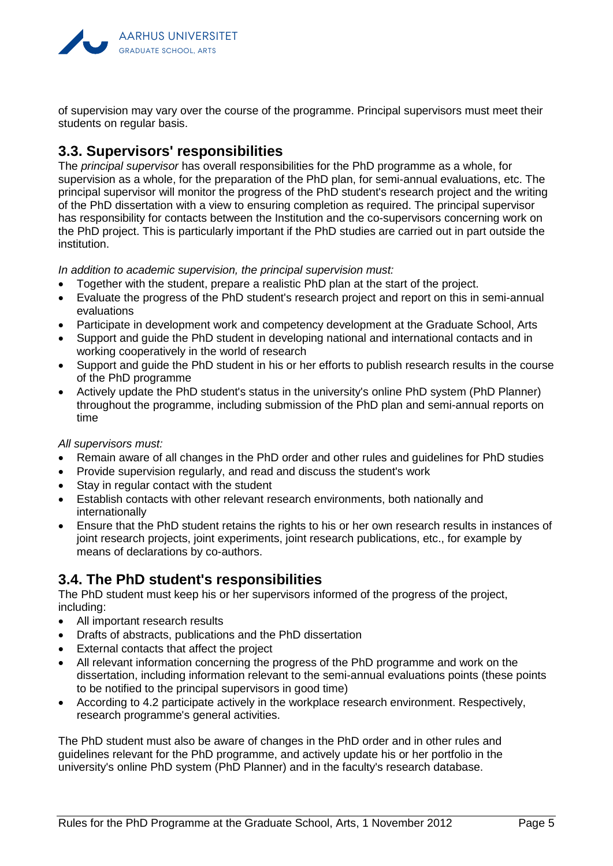

of supervision may vary over the course of the programme. Principal supervisors must meet their students on regular basis.

## <span id="page-6-0"></span>**3.3. Supervisors' responsibilities**

The *principal supervisor* has overall responsibilities for the PhD programme as a whole, for supervision as a whole, for the preparation of the PhD plan, for semi-annual evaluations, etc. The principal supervisor will monitor the progress of the PhD student's research project and the writing of the PhD dissertation with a view to ensuring completion as required. The principal supervisor has responsibility for contacts between the Institution and the co-supervisors concerning work on the PhD project. This is particularly important if the PhD studies are carried out in part outside the institution.

*In addition to academic supervision, the principal supervision must:*

- Together with the student, prepare a realistic PhD plan at the start of the project.
- Evaluate the progress of the PhD student's research project and report on this in semi-annual evaluations
- Participate in development work and competency development at the Graduate School, Arts
- Support and guide the PhD student in developing national and international contacts and in working cooperatively in the world of research
- Support and guide the PhD student in his or her efforts to publish research results in the course of the PhD programme
- Actively update the PhD student's status in the university's online PhD system (PhD Planner) throughout the programme, including submission of the PhD plan and semi-annual reports on time

*All supervisors must:*

- Remain aware of all changes in the PhD order and other rules and guidelines for PhD studies
- Provide supervision regularly, and read and discuss the student's work
- Stay in regular contact with the student
- Establish contacts with other relevant research environments, both nationally and internationally
- Ensure that the PhD student retains the rights to his or her own research results in instances of joint research projects, joint experiments, joint research publications, etc., for example by means of declarations by co-authors.

## <span id="page-6-1"></span>**3.4. The PhD student's responsibilities**

The PhD student must keep his or her supervisors informed of the progress of the project, including:

- All important research results
- Drafts of abstracts, publications and the PhD dissertation
- External contacts that affect the project
- All relevant information concerning the progress of the PhD programme and work on the dissertation, including information relevant to the semi-annual evaluations points (these points to be notified to the principal supervisors in good time)
- According to 4.2 participate actively in the workplace research environment. Respectively, research programme's general activities.

The PhD student must also be aware of changes in the PhD order and in other rules and guidelines relevant for the PhD programme, and actively update his or her portfolio in the university's online PhD system (PhD Planner) and in the faculty's research database.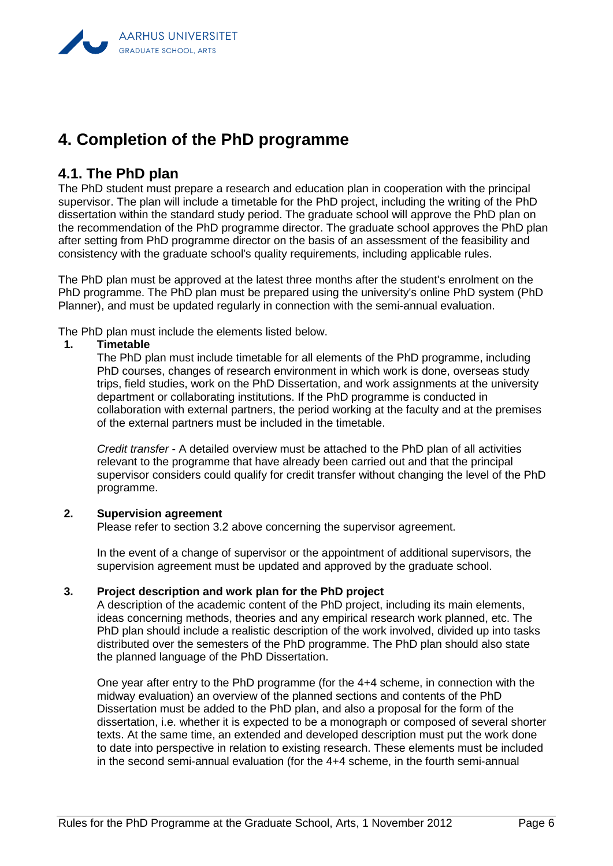# <span id="page-7-0"></span>**4. Completion of the PhD programme**

## <span id="page-7-1"></span>**4.1. The PhD plan**

The PhD student must prepare a research and education plan in cooperation with the principal supervisor. The plan will include a timetable for the PhD project, including the writing of the PhD dissertation within the standard study period. The graduate school will approve the PhD plan on the recommendation of the PhD programme director. The graduate school approves the PhD plan after setting from PhD programme director on the basis of an assessment of the feasibility and consistency with the graduate school's quality requirements, including applicable rules.

The PhD plan must be approved at the latest three months after the student's enrolment on the PhD programme. The PhD plan must be prepared using the university's online PhD system (PhD Planner), and must be updated regularly in connection with the semi-annual evaluation.

The PhD plan must include the elements listed below.

#### **1. Timetable**

The PhD plan must include timetable for all elements of the PhD programme, including PhD courses, changes of research environment in which work is done, overseas study trips, field studies, work on the PhD Dissertation, and work assignments at the university department or collaborating institutions. If the PhD programme is conducted in collaboration with external partners, the period working at the faculty and at the premises of the external partners must be included in the timetable.

*Credit transfer* - A detailed overview must be attached to the PhD plan of all activities relevant to the programme that have already been carried out and that the principal supervisor considers could qualify for credit transfer without changing the level of the PhD programme.

#### **2. Supervision agreement**

Please refer to section 3.2 above concerning the supervisor agreement.

In the event of a change of supervisor or the appointment of additional supervisors, the supervision agreement must be updated and approved by the graduate school.

#### **3. Project description and work plan for the PhD project**

A description of the academic content of the PhD project, including its main elements, ideas concerning methods, theories and any empirical research work planned, etc. The PhD plan should include a realistic description of the work involved, divided up into tasks distributed over the semesters of the PhD programme. The PhD plan should also state the planned language of the PhD Dissertation.

One year after entry to the PhD programme (for the 4+4 scheme, in connection with the midway evaluation) an overview of the planned sections and contents of the PhD Dissertation must be added to the PhD plan, and also a proposal for the form of the dissertation, i.e. whether it is expected to be a monograph or composed of several shorter texts. At the same time, an extended and developed description must put the work done to date into perspective in relation to existing research. These elements must be included in the second semi-annual evaluation (for the 4+4 scheme, in the fourth semi-annual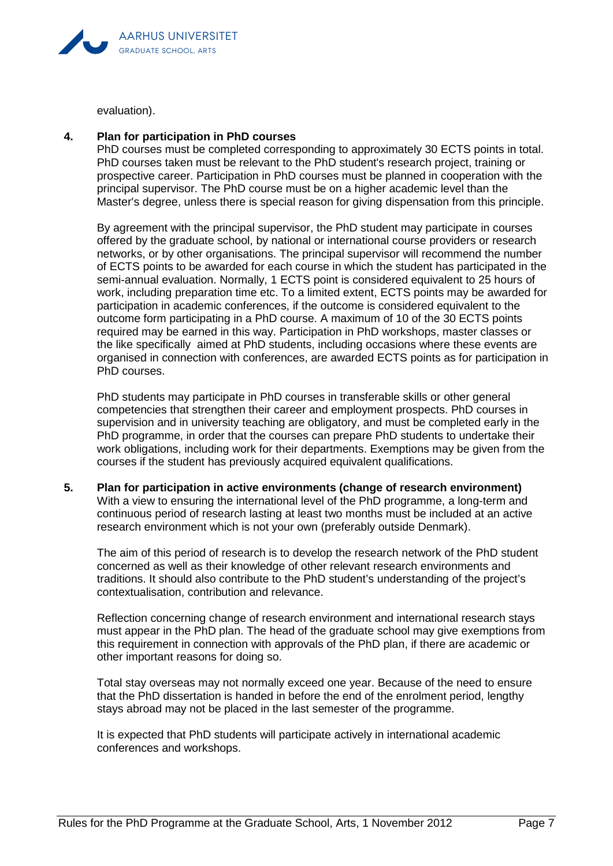

evaluation).

#### **4. Plan for participation in PhD courses**

PhD courses must be completed corresponding to approximately 30 ECTS points in total. PhD courses taken must be relevant to the PhD student's research project, training or prospective career. Participation in PhD courses must be planned in cooperation with the principal supervisor. The PhD course must be on a higher academic level than the Master's degree, unless there is special reason for giving dispensation from this principle.

By agreement with the principal supervisor, the PhD student may participate in courses offered by the graduate school, by national or international course providers or research networks, or by other organisations. The principal supervisor will recommend the number of ECTS points to be awarded for each course in which the student has participated in the semi-annual evaluation. Normally, 1 ECTS point is considered equivalent to 25 hours of work, including preparation time etc. To a limited extent, ECTS points may be awarded for participation in academic conferences, if the outcome is considered equivalent to the outcome form participating in a PhD course. A maximum of 10 of the 30 ECTS points required may be earned in this way. Participation in PhD workshops, master classes or the like specifically aimed at PhD students, including occasions where these events are organised in connection with conferences, are awarded ECTS points as for participation in PhD courses.

PhD students may participate in PhD courses in transferable skills or other general competencies that strengthen their career and employment prospects. PhD courses in supervision and in university teaching are obligatory, and must be completed early in the PhD programme, in order that the courses can prepare PhD students to undertake their work obligations, including work for their departments. Exemptions may be given from the courses if the student has previously acquired equivalent qualifications.

**5. Plan for participation in active environments (change of research environment)** With a view to ensuring the international level of the PhD programme, a long-term and continuous period of research lasting at least two months must be included at an active research environment which is not your own (preferably outside Denmark).

The aim of this period of research is to develop the research network of the PhD student concerned as well as their knowledge of other relevant research environments and traditions. It should also contribute to the PhD student's understanding of the project's contextualisation, contribution and relevance.

Reflection concerning change of research environment and international research stays must appear in the PhD plan. The head of the graduate school may give exemptions from this requirement in connection with approvals of the PhD plan, if there are academic or other important reasons for doing so.

Total stay overseas may not normally exceed one year. Because of the need to ensure that the PhD dissertation is handed in before the end of the enrolment period, lengthy stays abroad may not be placed in the last semester of the programme.

It is expected that PhD students will participate actively in international academic conferences and workshops.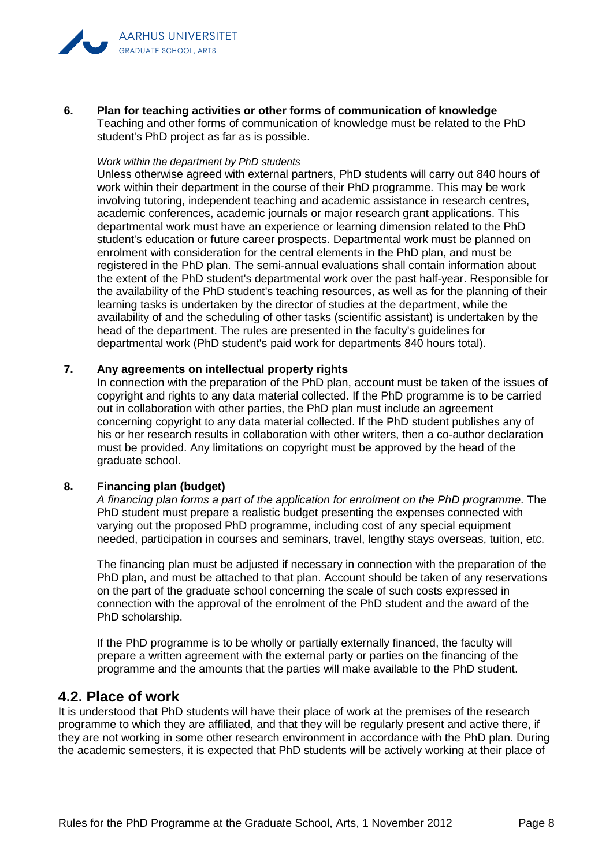

**6. Plan for teaching activities or other forms of communication of knowledge** Teaching and other forms of communication of knowledge must be related to the PhD student's PhD project as far as is possible.

#### *Work within the department by PhD students*

Unless otherwise agreed with external partners, PhD students will carry out 840 hours of work within their department in the course of their PhD programme. This may be work involving tutoring, independent teaching and academic assistance in research centres, academic conferences, academic journals or major research grant applications. This departmental work must have an experience or learning dimension related to the PhD student's education or future career prospects. Departmental work must be planned on enrolment with consideration for the central elements in the PhD plan, and must be registered in the PhD plan. The semi-annual evaluations shall contain information about the extent of the PhD student's departmental work over the past half-year. Responsible for the availability of the PhD student's teaching resources, as well as for the planning of their learning tasks is undertaken by the director of studies at the department, while the availability of and the scheduling of other tasks (scientific assistant) is undertaken by the head of the department. The rules are presented in the faculty's guidelines for departmental work (PhD student's paid work for departments 840 hours total).

#### **7. Any agreements on intellectual property rights**

In connection with the preparation of the PhD plan, account must be taken of the issues of copyright and rights to any data material collected. If the PhD programme is to be carried out in collaboration with other parties, the PhD plan must include an agreement concerning copyright to any data material collected. If the PhD student publishes any of his or her research results in collaboration with other writers, then a co-author declaration must be provided. Any limitations on copyright must be approved by the head of the graduate school.

#### **8. Financing plan (budget)**

*A financing plan forms a part of the application for enrolment on the PhD programme*. The PhD student must prepare a realistic budget presenting the expenses connected with varying out the proposed PhD programme, including cost of any special equipment needed, participation in courses and seminars, travel, lengthy stays overseas, tuition, etc.

The financing plan must be adjusted if necessary in connection with the preparation of the PhD plan, and must be attached to that plan. Account should be taken of any reservations on the part of the graduate school concerning the scale of such costs expressed in connection with the approval of the enrolment of the PhD student and the award of the PhD scholarship.

If the PhD programme is to be wholly or partially externally financed, the faculty will prepare a written agreement with the external party or parties on the financing of the programme and the amounts that the parties will make available to the PhD student.

#### <span id="page-9-0"></span>**4.2. Place of work**

It is understood that PhD students will have their place of work at the premises of the research programme to which they are affiliated, and that they will be regularly present and active there, if they are not working in some other research environment in accordance with the PhD plan. During the academic semesters, it is expected that PhD students will be actively working at their place of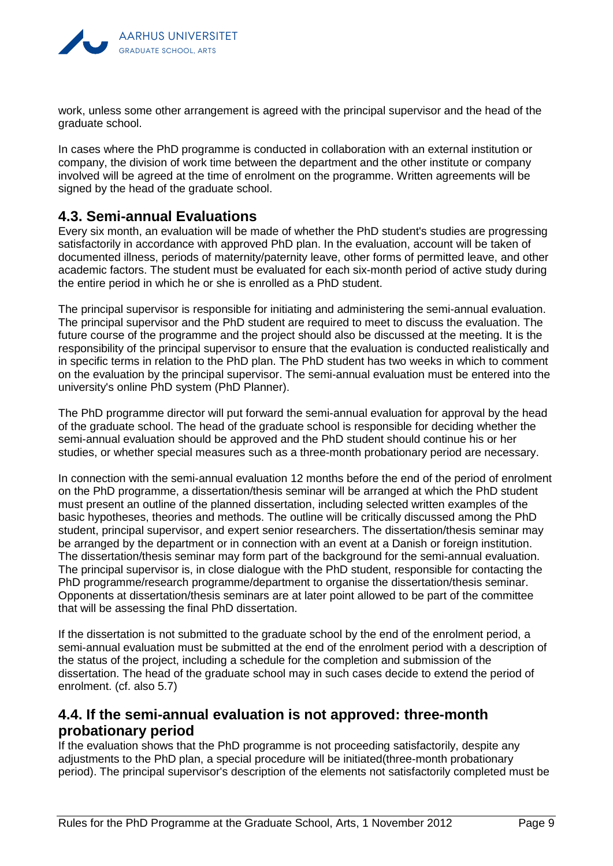

work, unless some other arrangement is agreed with the principal supervisor and the head of the graduate school.

In cases where the PhD programme is conducted in collaboration with an external institution or company, the division of work time between the department and the other institute or company involved will be agreed at the time of enrolment on the programme. Written agreements will be signed by the head of the graduate school.

### <span id="page-10-0"></span>**4.3. Semi-annual Evaluations**

Every six month, an evaluation will be made of whether the PhD student's studies are progressing satisfactorily in accordance with approved PhD plan. In the evaluation, account will be taken of documented illness, periods of maternity/paternity leave, other forms of permitted leave, and other academic factors. The student must be evaluated for each six-month period of active study during the entire period in which he or she is enrolled as a PhD student.

The principal supervisor is responsible for initiating and administering the semi-annual evaluation. The principal supervisor and the PhD student are required to meet to discuss the evaluation. The future course of the programme and the project should also be discussed at the meeting. It is the responsibility of the principal supervisor to ensure that the evaluation is conducted realistically and in specific terms in relation to the PhD plan. The PhD student has two weeks in which to comment on the evaluation by the principal supervisor. The semi-annual evaluation must be entered into the university's online PhD system (PhD Planner).

The PhD programme director will put forward the semi-annual evaluation for approval by the head of the graduate school. The head of the graduate school is responsible for deciding whether the semi-annual evaluation should be approved and the PhD student should continue his or her studies, or whether special measures such as a three-month probationary period are necessary.

In connection with the semi-annual evaluation 12 months before the end of the period of enrolment on the PhD programme, a dissertation/thesis seminar will be arranged at which the PhD student must present an outline of the planned dissertation, including selected written examples of the basic hypotheses, theories and methods. The outline will be critically discussed among the PhD student, principal supervisor, and expert senior researchers. The dissertation/thesis seminar may be arranged by the department or in connection with an event at a Danish or foreign institution. The dissertation/thesis seminar may form part of the background for the semi-annual evaluation. The principal supervisor is, in close dialogue with the PhD student, responsible for contacting the PhD programme/research programme/department to organise the dissertation/thesis seminar. Opponents at dissertation/thesis seminars are at later point allowed to be part of the committee that will be assessing the final PhD dissertation.

If the dissertation is not submitted to the graduate school by the end of the enrolment period, a semi-annual evaluation must be submitted at the end of the enrolment period with a description of the status of the project, including a schedule for the completion and submission of the dissertation. The head of the graduate school may in such cases decide to extend the period of enrolment. (cf. also 5.7)

## <span id="page-10-1"></span>**4.4. If the semi-annual evaluation is not approved: three-month probationary period**

If the evaluation shows that the PhD programme is not proceeding satisfactorily, despite any adjustments to the PhD plan, a special procedure will be initiated(three-month probationary period). The principal supervisor's description of the elements not satisfactorily completed must be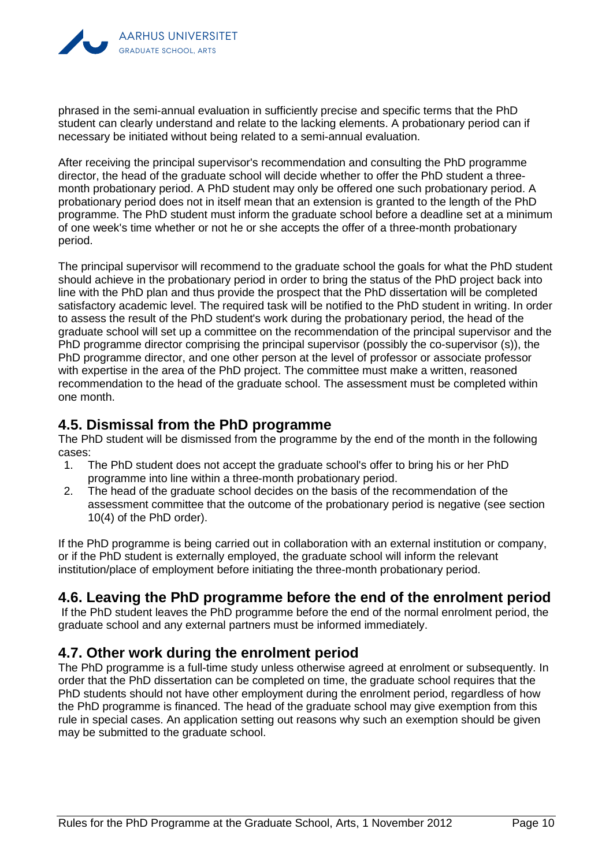

phrased in the semi-annual evaluation in sufficiently precise and specific terms that the PhD student can clearly understand and relate to the lacking elements. A probationary period can if necessary be initiated without being related to a semi-annual evaluation.

After receiving the principal supervisor's recommendation and consulting the PhD programme director, the head of the graduate school will decide whether to offer the PhD student a threemonth probationary period. A PhD student may only be offered one such probationary period. A probationary period does not in itself mean that an extension is granted to the length of the PhD programme. The PhD student must inform the graduate school before a deadline set at a minimum of one week's time whether or not he or she accepts the offer of a three-month probationary period.

The principal supervisor will recommend to the graduate school the goals for what the PhD student should achieve in the probationary period in order to bring the status of the PhD project back into line with the PhD plan and thus provide the prospect that the PhD dissertation will be completed satisfactory academic level. The required task will be notified to the PhD student in writing. In order to assess the result of the PhD student's work during the probationary period, the head of the graduate school will set up a committee on the recommendation of the principal supervisor and the PhD programme director comprising the principal supervisor (possibly the co-supervisor (s)), the PhD programme director, and one other person at the level of professor or associate professor with expertise in the area of the PhD project. The committee must make a written, reasoned recommendation to the head of the graduate school. The assessment must be completed within one month.

## <span id="page-11-0"></span>**4.5. Dismissal from the PhD programme**

The PhD student will be dismissed from the programme by the end of the month in the following cases:

- 1. The PhD student does not accept the graduate school's offer to bring his or her PhD programme into line within a three-month probationary period.
- 2. The head of the graduate school decides on the basis of the recommendation of the assessment committee that the outcome of the probationary period is negative (see section 10(4) of the PhD order).

If the PhD programme is being carried out in collaboration with an external institution or company, or if the PhD student is externally employed, the graduate school will inform the relevant institution/place of employment before initiating the three-month probationary period.

## <span id="page-11-1"></span>**4.6. Leaving the PhD programme before the end of the enrolment period**

If the PhD student leaves the PhD programme before the end of the normal enrolment period, the graduate school and any external partners must be informed immediately.

## <span id="page-11-2"></span>**4.7. Other work during the enrolment period**

The PhD programme is a full-time study unless otherwise agreed at enrolment or subsequently. In order that the PhD dissertation can be completed on time, the graduate school requires that the PhD students should not have other employment during the enrolment period, regardless of how the PhD programme is financed. The head of the graduate school may give exemption from this rule in special cases. An application setting out reasons why such an exemption should be given may be submitted to the graduate school.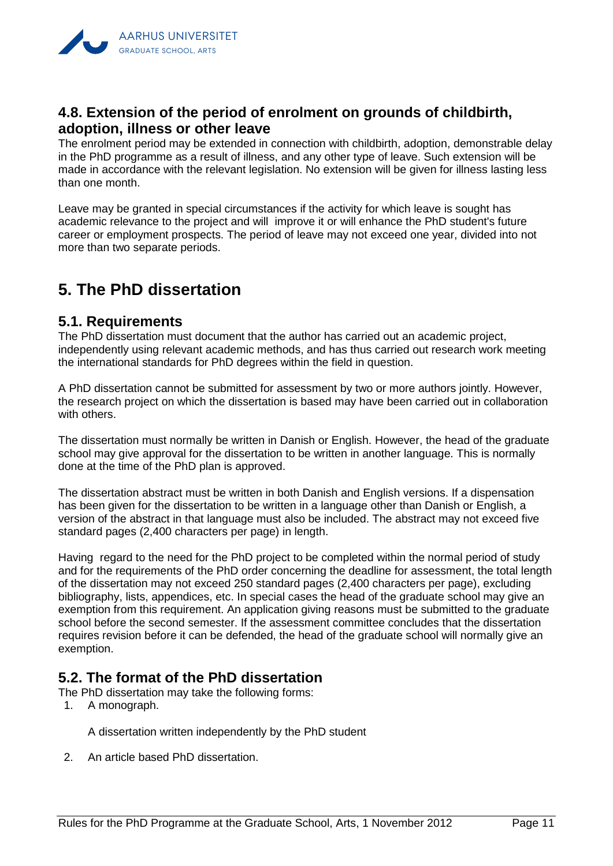

## <span id="page-12-0"></span>**4.8. Extension of the period of enrolment on grounds of childbirth, adoption, illness or other leave**

The enrolment period may be extended in connection with childbirth, adoption, demonstrable delay in the PhD programme as a result of illness, and any other type of leave. Such extension will be made in accordance with the relevant legislation. No extension will be given for illness lasting less than one month.

Leave may be granted in special circumstances if the activity for which leave is sought has academic relevance to the project and will improve it or will enhance the PhD student's future career or employment prospects. The period of leave may not exceed one year, divided into not more than two separate periods.

# <span id="page-12-1"></span>**5. The PhD dissertation**

#### <span id="page-12-2"></span>**5.1. Requirements**

The PhD dissertation must document that the author has carried out an academic project, independently using relevant academic methods, and has thus carried out research work meeting the international standards for PhD degrees within the field in question.

A PhD dissertation cannot be submitted for assessment by two or more authors jointly. However, the research project on which the dissertation is based may have been carried out in collaboration with others.

The dissertation must normally be written in Danish or English. However, the head of the graduate school may give approval for the dissertation to be written in another language. This is normally done at the time of the PhD plan is approved.

The dissertation abstract must be written in both Danish and English versions. If a dispensation has been given for the dissertation to be written in a language other than Danish or English, a version of the abstract in that language must also be included. The abstract may not exceed five standard pages (2,400 characters per page) in length.

Having regard to the need for the PhD project to be completed within the normal period of study and for the requirements of the PhD order concerning the deadline for assessment, the total length of the dissertation may not exceed 250 standard pages (2,400 characters per page), excluding bibliography, lists, appendices, etc. In special cases the head of the graduate school may give an exemption from this requirement. An application giving reasons must be submitted to the graduate school before the second semester. If the assessment committee concludes that the dissertation requires revision before it can be defended, the head of the graduate school will normally give an exemption.

## <span id="page-12-3"></span>**5.2. The format of the PhD dissertation**

The PhD dissertation may take the following forms:

1. A monograph.

A dissertation written independently by the PhD student

2. An article based PhD dissertation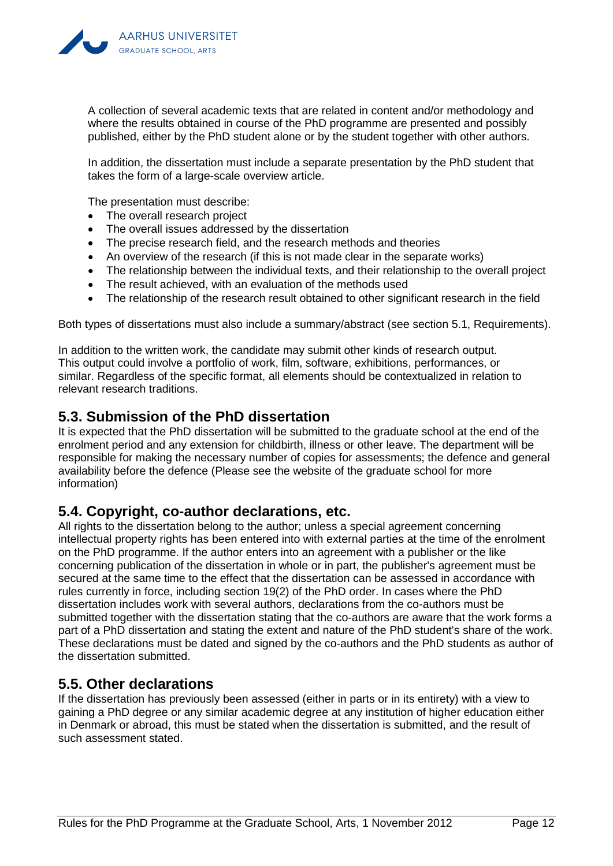

A collection of several academic texts that are related in content and/or methodology and where the results obtained in course of the PhD programme are presented and possibly published, either by the PhD student alone or by the student together with other authors.

In addition, the dissertation must include a separate presentation by the PhD student that takes the form of a large-scale overview article.

The presentation must describe:

- The overall research project
- The overall issues addressed by the dissertation
- The precise research field, and the research methods and theories
- An overview of the research (if this is not made clear in the separate works)
- The relationship between the individual texts, and their relationship to the overall project
- The result achieved, with an evaluation of the methods used
- The relationship of the research result obtained to other significant research in the field

Both types of dissertations must also include a summary/abstract (see section 5.1, Requirements).

In addition to the written work, the candidate may submit other kinds of research output. This output could involve a portfolio of work, film, software, exhibitions, performances, or similar. Regardless of the specific format, all elements should be contextualized in relation to relevant research traditions.

#### <span id="page-13-0"></span>**5.3. Submission of the PhD dissertation**

It is expected that the PhD dissertation will be submitted to the graduate school at the end of the enrolment period and any extension for childbirth, illness or other leave. The department will be responsible for making the necessary number of copies for assessments; the defence and general availability before the defence (Please see the website of the graduate school for more information)

#### <span id="page-13-1"></span>**5.4. Copyright, co-author declarations, etc.**

All rights to the dissertation belong to the author; unless a special agreement concerning intellectual property rights has been entered into with external parties at the time of the enrolment on the PhD programme. If the author enters into an agreement with a publisher or the like concerning publication of the dissertation in whole or in part, the publisher's agreement must be secured at the same time to the effect that the dissertation can be assessed in accordance with rules currently in force, including section 19(2) of the PhD order. In cases where the PhD dissertation includes work with several authors, declarations from the co-authors must be submitted together with the dissertation stating that the co-authors are aware that the work forms a part of a PhD dissertation and stating the extent and nature of the PhD student's share of the work. These declarations must be dated and signed by the co-authors and the PhD students as author of the dissertation submitted.

#### <span id="page-13-2"></span>**5.5. Other declarations**

If the dissertation has previously been assessed (either in parts or in its entirety) with a view to gaining a PhD degree or any similar academic degree at any institution of higher education either in Denmark or abroad, this must be stated when the dissertation is submitted, and the result of such assessment stated.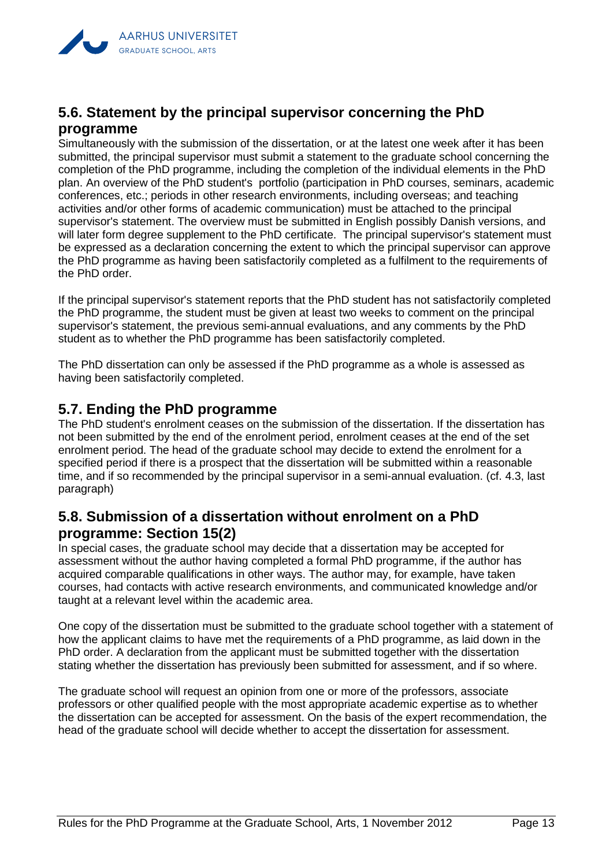

## <span id="page-14-0"></span>**5.6. Statement by the principal supervisor concerning the PhD programme**

Simultaneously with the submission of the dissertation, or at the latest one week after it has been submitted, the principal supervisor must submit a statement to the graduate school concerning the completion of the PhD programme, including the completion of the individual elements in the PhD plan. An overview of the PhD student's portfolio (participation in PhD courses, seminars, academic conferences, etc.; periods in other research environments, including overseas; and teaching activities and/or other forms of academic communication) must be attached to the principal supervisor's statement. The overview must be submitted in English possibly Danish versions, and will later form degree supplement to the PhD certificate. The principal supervisor's statement must be expressed as a declaration concerning the extent to which the principal supervisor can approve the PhD programme as having been satisfactorily completed as a fulfilment to the requirements of the PhD order.

If the principal supervisor's statement reports that the PhD student has not satisfactorily completed the PhD programme, the student must be given at least two weeks to comment on the principal supervisor's statement, the previous semi-annual evaluations, and any comments by the PhD student as to whether the PhD programme has been satisfactorily completed.

The PhD dissertation can only be assessed if the PhD programme as a whole is assessed as having been satisfactorily completed.

### <span id="page-14-1"></span>**5.7. Ending the PhD programme**

The PhD student's enrolment ceases on the submission of the dissertation. If the dissertation has not been submitted by the end of the enrolment period, enrolment ceases at the end of the set enrolment period. The head of the graduate school may decide to extend the enrolment for a specified period if there is a prospect that the dissertation will be submitted within a reasonable time, and if so recommended by the principal supervisor in a semi-annual evaluation. (cf. 4.3, last paragraph)

### <span id="page-14-2"></span>**5.8. Submission of a dissertation without enrolment on a PhD programme: Section 15(2)**

In special cases, the graduate school may decide that a dissertation may be accepted for assessment without the author having completed a formal PhD programme, if the author has acquired comparable qualifications in other ways. The author may, for example, have taken courses, had contacts with active research environments, and communicated knowledge and/or taught at a relevant level within the academic area.

One copy of the dissertation must be submitted to the graduate school together with a statement of how the applicant claims to have met the requirements of a PhD programme, as laid down in the PhD order. A declaration from the applicant must be submitted together with the dissertation stating whether the dissertation has previously been submitted for assessment, and if so where.

The graduate school will request an opinion from one or more of the professors, associate professors or other qualified people with the most appropriate academic expertise as to whether the dissertation can be accepted for assessment. On the basis of the expert recommendation, the head of the graduate school will decide whether to accept the dissertation for assessment.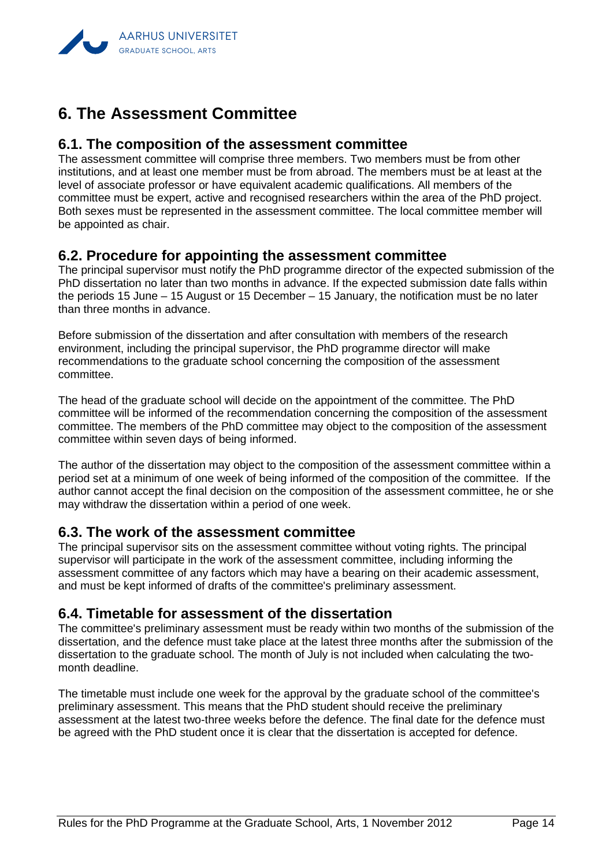

# <span id="page-15-0"></span>**6. The Assessment Committee**

#### <span id="page-15-1"></span>**6.1. The composition of the assessment committee**

The assessment committee will comprise three members. Two members must be from other institutions, and at least one member must be from abroad. The members must be at least at the level of associate professor or have equivalent academic qualifications. All members of the committee must be expert, active and recognised researchers within the area of the PhD project. Both sexes must be represented in the assessment committee. The local committee member will be appointed as chair.

#### <span id="page-15-2"></span>**6.2. Procedure for appointing the assessment committee**

The principal supervisor must notify the PhD programme director of the expected submission of the PhD dissertation no later than two months in advance. If the expected submission date falls within the periods 15 June – 15 August or 15 December – 15 January, the notification must be no later than three months in advance.

Before submission of the dissertation and after consultation with members of the research environment, including the principal supervisor, the PhD programme director will make recommendations to the graduate school concerning the composition of the assessment committee.

The head of the graduate school will decide on the appointment of the committee. The PhD committee will be informed of the recommendation concerning the composition of the assessment committee. The members of the PhD committee may object to the composition of the assessment committee within seven days of being informed.

The author of the dissertation may object to the composition of the assessment committee within a period set at a minimum of one week of being informed of the composition of the committee. If the author cannot accept the final decision on the composition of the assessment committee, he or she may withdraw the dissertation within a period of one week.

#### <span id="page-15-3"></span>**6.3. The work of the assessment committee**

The principal supervisor sits on the assessment committee without voting rights. The principal supervisor will participate in the work of the assessment committee, including informing the assessment committee of any factors which may have a bearing on their academic assessment, and must be kept informed of drafts of the committee's preliminary assessment.

#### <span id="page-15-4"></span>**6.4. Timetable for assessment of the dissertation**

The committee's preliminary assessment must be ready within two months of the submission of the dissertation, and the defence must take place at the latest three months after the submission of the dissertation to the graduate school. The month of July is not included when calculating the twomonth deadline.

The timetable must include one week for the approval by the graduate school of the committee's preliminary assessment. This means that the PhD student should receive the preliminary assessment at the latest two-three weeks before the defence. The final date for the defence must be agreed with the PhD student once it is clear that the dissertation is accepted for defence.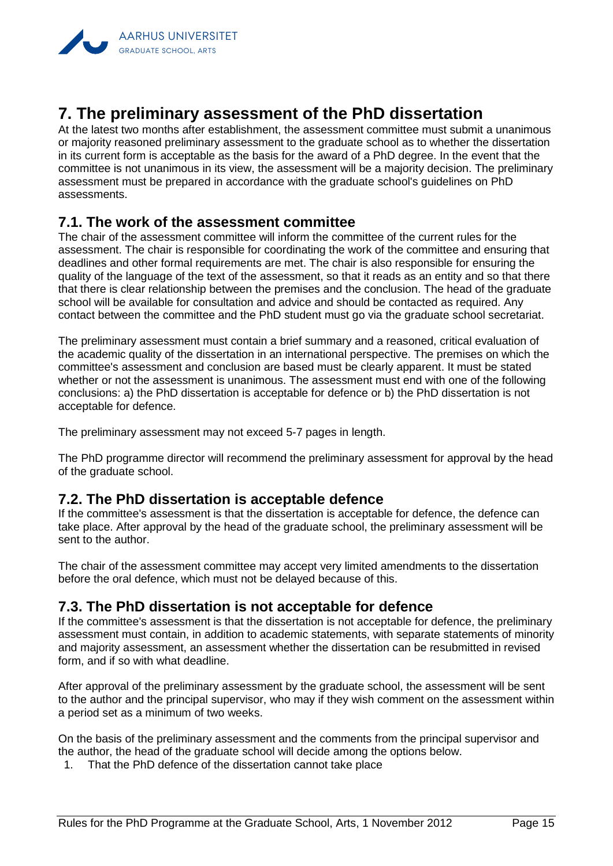

# <span id="page-16-0"></span>**7. The preliminary assessment of the PhD dissertation**

At the latest two months after establishment, the assessment committee must submit a unanimous or majority reasoned preliminary assessment to the graduate school as to whether the dissertation in its current form is acceptable as the basis for the award of a PhD degree. In the event that the committee is not unanimous in its view, the assessment will be a majority decision. The preliminary assessment must be prepared in accordance with the graduate school's guidelines on PhD assessments.

#### <span id="page-16-1"></span>**7.1. The work of the assessment committee**

The chair of the assessment committee will inform the committee of the current rules for the assessment. The chair is responsible for coordinating the work of the committee and ensuring that deadlines and other formal requirements are met. The chair is also responsible for ensuring the quality of the language of the text of the assessment, so that it reads as an entity and so that there that there is clear relationship between the premises and the conclusion. The head of the graduate school will be available for consultation and advice and should be contacted as required. Any contact between the committee and the PhD student must go via the graduate school secretariat.

The preliminary assessment must contain a brief summary and a reasoned, critical evaluation of the academic quality of the dissertation in an international perspective. The premises on which the committee's assessment and conclusion are based must be clearly apparent. It must be stated whether or not the assessment is unanimous. The assessment must end with one of the following conclusions: a) the PhD dissertation is acceptable for defence or b) the PhD dissertation is not acceptable for defence.

The preliminary assessment may not exceed 5-7 pages in length.

The PhD programme director will recommend the preliminary assessment for approval by the head of the graduate school.

#### <span id="page-16-2"></span>**7.2. The PhD dissertation is acceptable defence**

If the committee's assessment is that the dissertation is acceptable for defence, the defence can take place. After approval by the head of the graduate school, the preliminary assessment will be sent to the author.

The chair of the assessment committee may accept very limited amendments to the dissertation before the oral defence, which must not be delayed because of this.

## <span id="page-16-3"></span>**7.3. The PhD dissertation is not acceptable for defence**

If the committee's assessment is that the dissertation is not acceptable for defence, the preliminary assessment must contain, in addition to academic statements, with separate statements of minority and majority assessment, an assessment whether the dissertation can be resubmitted in revised form, and if so with what deadline.

After approval of the preliminary assessment by the graduate school, the assessment will be sent to the author and the principal supervisor, who may if they wish comment on the assessment within a period set as a minimum of two weeks.

On the basis of the preliminary assessment and the comments from the principal supervisor and the author, the head of the graduate school will decide among the options below.

1. That the PhD defence of the dissertation cannot take place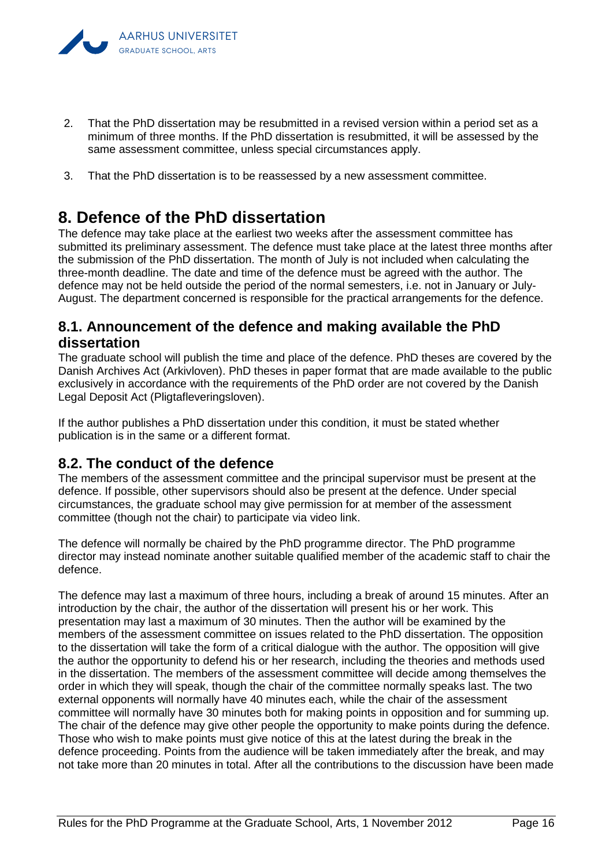

- 2. That the PhD dissertation may be resubmitted in a revised version within a period set as a minimum of three months. If the PhD dissertation is resubmitted, it will be assessed by the same assessment committee, unless special circumstances apply.
- 3. That the PhD dissertation is to be reassessed by a new assessment committee.

# <span id="page-17-0"></span>**8. Defence of the PhD dissertation**

The defence may take place at the earliest two weeks after the assessment committee has submitted its preliminary assessment. The defence must take place at the latest three months after the submission of the PhD dissertation. The month of July is not included when calculating the three-month deadline. The date and time of the defence must be agreed with the author. The defence may not be held outside the period of the normal semesters, i.e. not in January or July-August. The department concerned is responsible for the practical arrangements for the defence.

## <span id="page-17-1"></span>**8.1. Announcement of the defence and making available the PhD dissertation**

The graduate school will publish the time and place of the defence. PhD theses are covered by the Danish Archives Act (Arkivloven). PhD theses in paper format that are made available to the public exclusively in accordance with the requirements of the PhD order are not covered by the Danish Legal Deposit Act (Pligtafleveringsloven).

If the author publishes a PhD dissertation under this condition, it must be stated whether publication is in the same or a different format.

## <span id="page-17-2"></span>**8.2. The conduct of the defence**

The members of the assessment committee and the principal supervisor must be present at the defence. If possible, other supervisors should also be present at the defence. Under special circumstances, the graduate school may give permission for at member of the assessment committee (though not the chair) to participate via video link.

The defence will normally be chaired by the PhD programme director. The PhD programme director may instead nominate another suitable qualified member of the academic staff to chair the defence.

The defence may last a maximum of three hours, including a break of around 15 minutes. After an introduction by the chair, the author of the dissertation will present his or her work. This presentation may last a maximum of 30 minutes. Then the author will be examined by the members of the assessment committee on issues related to the PhD dissertation. The opposition to the dissertation will take the form of a critical dialogue with the author. The opposition will give the author the opportunity to defend his or her research, including the theories and methods used in the dissertation. The members of the assessment committee will decide among themselves the order in which they will speak, though the chair of the committee normally speaks last. The two external opponents will normally have 40 minutes each, while the chair of the assessment committee will normally have 30 minutes both for making points in opposition and for summing up. The chair of the defence may give other people the opportunity to make points during the defence. Those who wish to make points must give notice of this at the latest during the break in the defence proceeding. Points from the audience will be taken immediately after the break, and may not take more than 20 minutes in total. After all the contributions to the discussion have been made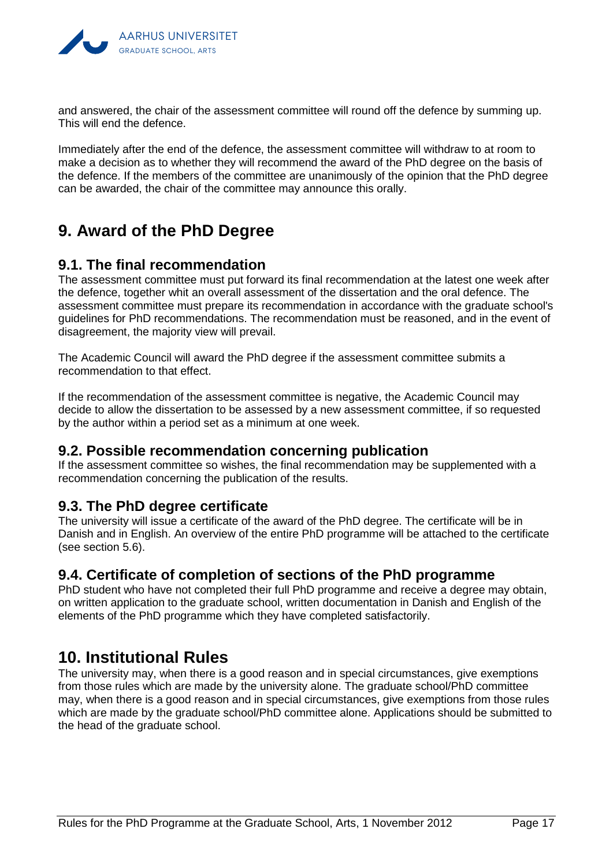

and answered, the chair of the assessment committee will round off the defence by summing up. This will end the defence.

Immediately after the end of the defence, the assessment committee will withdraw to at room to make a decision as to whether they will recommend the award of the PhD degree on the basis of the defence. If the members of the committee are unanimously of the opinion that the PhD degree can be awarded, the chair of the committee may announce this orally.

# <span id="page-18-0"></span>**9. Award of the PhD Degree**

### <span id="page-18-1"></span>**9.1. The final recommendation**

The assessment committee must put forward its final recommendation at the latest one week after the defence, together whit an overall assessment of the dissertation and the oral defence. The assessment committee must prepare its recommendation in accordance with the graduate school's guidelines for PhD recommendations. The recommendation must be reasoned, and in the event of disagreement, the majority view will prevail.

The Academic Council will award the PhD degree if the assessment committee submits a recommendation to that effect.

If the recommendation of the assessment committee is negative, the Academic Council may decide to allow the dissertation to be assessed by a new assessment committee, if so requested by the author within a period set as a minimum at one week.

#### <span id="page-18-2"></span>**9.2. Possible recommendation concerning publication**

If the assessment committee so wishes, the final recommendation may be supplemented with a recommendation concerning the publication of the results.

#### <span id="page-18-3"></span>**9.3. The PhD degree certificate**

The university will issue a certificate of the award of the PhD degree. The certificate will be in Danish and in English. An overview of the entire PhD programme will be attached to the certificate (see section 5.6).

#### <span id="page-18-4"></span>**9.4. Certificate of completion of sections of the PhD programme**

PhD student who have not completed their full PhD programme and receive a degree may obtain, on written application to the graduate school, written documentation in Danish and English of the elements of the PhD programme which they have completed satisfactorily.

# <span id="page-18-5"></span>**10. Institutional Rules**

The university may, when there is a good reason and in special circumstances, give exemptions from those rules which are made by the university alone. The graduate school/PhD committee may, when there is a good reason and in special circumstances, give exemptions from those rules which are made by the graduate school/PhD committee alone. Applications should be submitted to the head of the graduate school.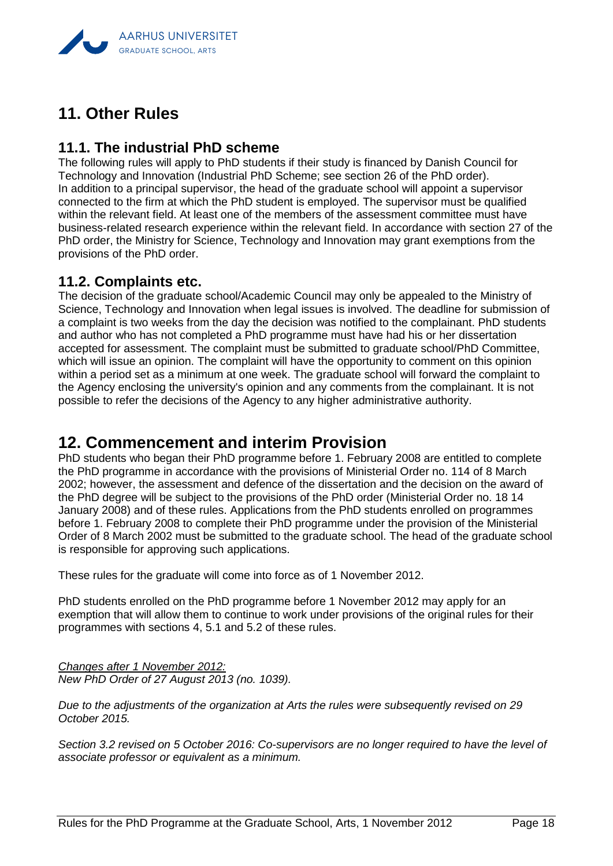

# <span id="page-19-0"></span>**11. Other Rules**

### <span id="page-19-1"></span>**11.1. The industrial PhD scheme**

The following rules will apply to PhD students if their study is financed by Danish Council for Technology and Innovation (Industrial PhD Scheme; see section 26 of the PhD order). In addition to a principal supervisor, the head of the graduate school will appoint a supervisor connected to the firm at which the PhD student is employed. The supervisor must be qualified within the relevant field. At least one of the members of the assessment committee must have business-related research experience within the relevant field. In accordance with section 27 of the PhD order, the Ministry for Science, Technology and Innovation may grant exemptions from the provisions of the PhD order.

#### <span id="page-19-2"></span>**11.2. Complaints etc.**

The decision of the graduate school/Academic Council may only be appealed to the Ministry of Science, Technology and Innovation when legal issues is involved. The deadline for submission of a complaint is two weeks from the day the decision was notified to the complainant. PhD students and author who has not completed a PhD programme must have had his or her dissertation accepted for assessment. The complaint must be submitted to graduate school/PhD Committee, which will issue an opinion. The complaint will have the opportunity to comment on this opinion within a period set as a minimum at one week. The graduate school will forward the complaint to the Agency enclosing the university's opinion and any comments from the complainant. It is not possible to refer the decisions of the Agency to any higher administrative authority.

# <span id="page-19-3"></span>**12. Commencement and interim Provision**

PhD students who began their PhD programme before 1. February 2008 are entitled to complete the PhD programme in accordance with the provisions of Ministerial Order no. 114 of 8 March 2002; however, the assessment and defence of the dissertation and the decision on the award of the PhD degree will be subject to the provisions of the PhD order (Ministerial Order no. 18 14 January 2008) and of these rules. Applications from the PhD students enrolled on programmes before 1. February 2008 to complete their PhD programme under the provision of the Ministerial Order of 8 March 2002 must be submitted to the graduate school. The head of the graduate school is responsible for approving such applications.

These rules for the graduate will come into force as of 1 November 2012.

PhD students enrolled on the PhD programme before 1 November 2012 may apply for an exemption that will allow them to continue to work under provisions of the original rules for their programmes with sections 4, 5.1 and 5.2 of these rules.

*Changes after 1 November 2012: New PhD Order of 27 August 2013 (no. 1039).*

*Due to the adjustments of the organization at Arts the rules were subsequently revised on 29 October 2015.*

*Section 3.2 revised on 5 October 2016: Co-supervisors are no longer required to have the level of associate professor or equivalent as a minimum.*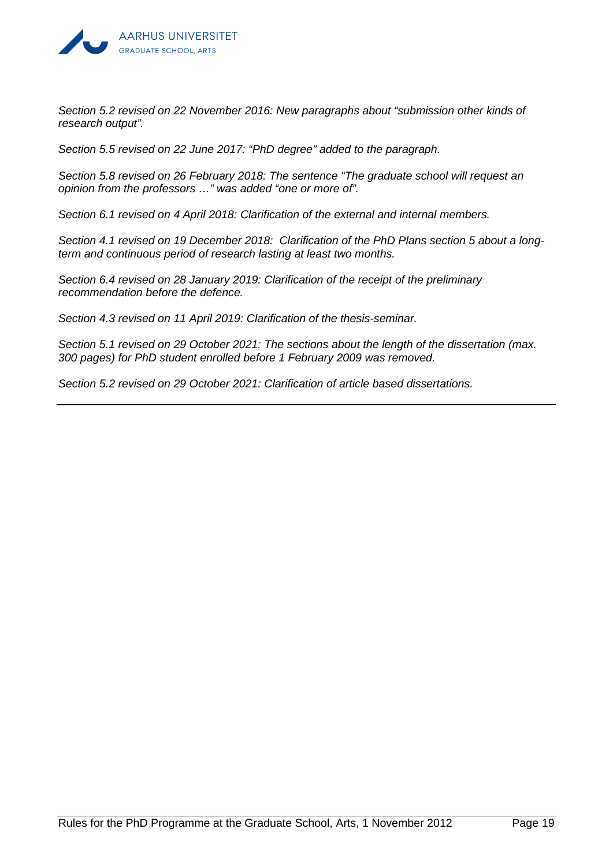

*Section 5.2 revised on 22 November 2016: New paragraphs about "submission other kinds of research output".*

*Section 5.5 revised on 22 June 2017: "PhD degree" added to the paragraph.*

*Section 5.8 revised on 26 February 2018: The sentence "The graduate school will request an opinion from the professors …" was added "one or more of".*

*Section 6.1 revised on 4 April 2018: Clarification of the external and internal members.*

*Section 4.1 revised on 19 December 2018: Clarification of the PhD Plans section 5 about a longterm and continuous period of research lasting at least two months.*

*Section 6.4 revised on 28 January 2019: Clarification of the receipt of the preliminary recommendation before the defence.*

*Section 4.3 revised on 11 April 2019: Clarification of the thesis-seminar.*

*Section 5.1 revised on 29 October 2021: The sections about the length of the dissertation (max. 300 pages) for PhD student enrolled before 1 February 2009 was removed.*

*Section 5.2 revised on 29 October 2021: Clarification of article based dissertations.*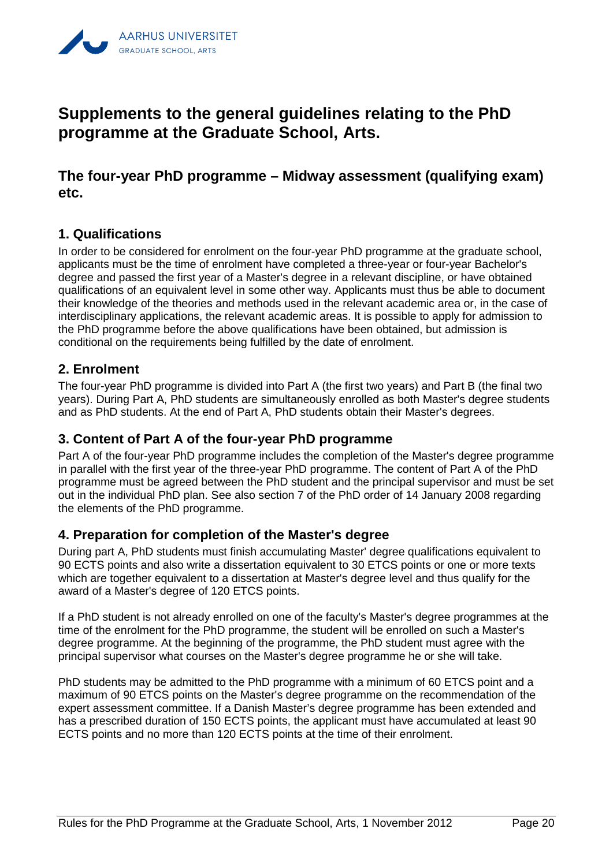

# <span id="page-21-0"></span>**Supplements to the general guidelines relating to the PhD programme at the Graduate School, Arts.**

<span id="page-21-1"></span>**The four-year PhD programme – Midway assessment (qualifying exam) etc.**

#### <span id="page-21-2"></span>**1. Qualifications**

In order to be considered for enrolment on the four-year PhD programme at the graduate school, applicants must be the time of enrolment have completed a three-year or four-year Bachelor's degree and passed the first year of a Master's degree in a relevant discipline, or have obtained qualifications of an equivalent level in some other way. Applicants must thus be able to document their knowledge of the theories and methods used in the relevant academic area or, in the case of interdisciplinary applications, the relevant academic areas. It is possible to apply for admission to the PhD programme before the above qualifications have been obtained, but admission is conditional on the requirements being fulfilled by the date of enrolment.

#### <span id="page-21-3"></span>**2. Enrolment**

The four-year PhD programme is divided into Part A (the first two years) and Part B (the final two years). During Part A, PhD students are simultaneously enrolled as both Master's degree students and as PhD students. At the end of Part A, PhD students obtain their Master's degrees.

#### <span id="page-21-4"></span>**3. Content of Part A of the four-year PhD programme**

Part A of the four-year PhD programme includes the completion of the Master's degree programme in parallel with the first year of the three-year PhD programme. The content of Part A of the PhD programme must be agreed between the PhD student and the principal supervisor and must be set out in the individual PhD plan. See also section 7 of the PhD order of 14 January 2008 regarding the elements of the PhD programme.

#### <span id="page-21-5"></span>**4. Preparation for completion of the Master's degree**

During part A, PhD students must finish accumulating Master' degree qualifications equivalent to 90 ECTS points and also write a dissertation equivalent to 30 ETCS points or one or more texts which are together equivalent to a dissertation at Master's degree level and thus qualify for the award of a Master's degree of 120 ETCS points.

If a PhD student is not already enrolled on one of the faculty's Master's degree programmes at the time of the enrolment for the PhD programme, the student will be enrolled on such a Master's degree programme. At the beginning of the programme, the PhD student must agree with the principal supervisor what courses on the Master's degree programme he or she will take.

PhD students may be admitted to the PhD programme with a minimum of 60 ETCS point and a maximum of 90 ETCS points on the Master's degree programme on the recommendation of the expert assessment committee. If a Danish Master's degree programme has been extended and has a prescribed duration of 150 ECTS points, the applicant must have accumulated at least 90 ECTS points and no more than 120 ECTS points at the time of their enrolment.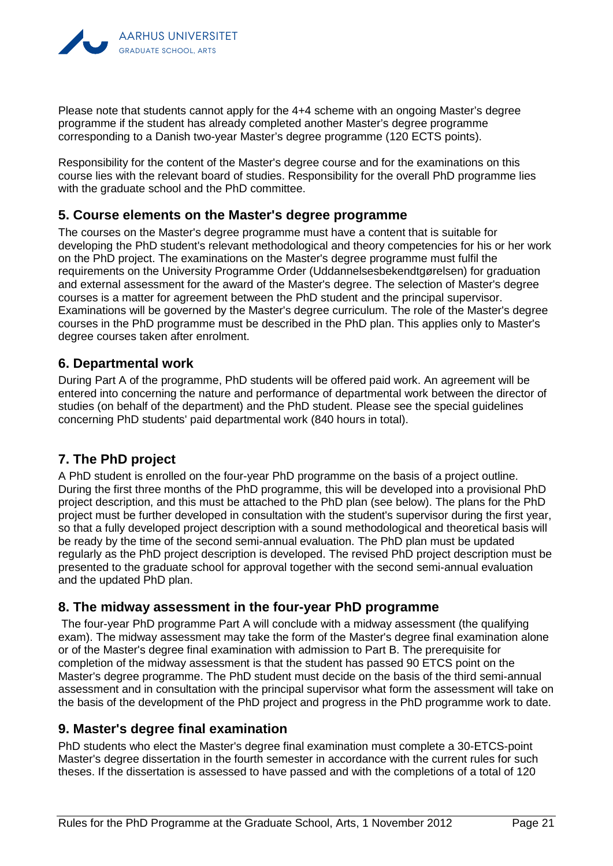

Please note that students cannot apply for the 4+4 scheme with an ongoing Master's degree programme if the student has already completed another Master's degree programme corresponding to a Danish two-year Master's degree programme (120 ECTS points).

Responsibility for the content of the Master's degree course and for the examinations on this course lies with the relevant board of studies. Responsibility for the overall PhD programme lies with the graduate school and the PhD committee.

#### <span id="page-22-0"></span>**5. Course elements on the Master's degree programme**

The courses on the Master's degree programme must have a content that is suitable for developing the PhD student's relevant methodological and theory competencies for his or her work on the PhD project. The examinations on the Master's degree programme must fulfil the requirements on the University Programme Order (Uddannelsesbekendtgørelsen) for graduation and external assessment for the award of the Master's degree. The selection of Master's degree courses is a matter for agreement between the PhD student and the principal supervisor. Examinations will be governed by the Master's degree curriculum. The role of the Master's degree courses in the PhD programme must be described in the PhD plan. This applies only to Master's degree courses taken after enrolment.

#### <span id="page-22-1"></span>**6. Departmental work**

During Part A of the programme, PhD students will be offered paid work. An agreement will be entered into concerning the nature and performance of departmental work between the director of studies (on behalf of the department) and the PhD student. Please see the special guidelines concerning PhD students' paid departmental work (840 hours in total).

#### <span id="page-22-2"></span>**7. The PhD project**

A PhD student is enrolled on the four-year PhD programme on the basis of a project outline. During the first three months of the PhD programme, this will be developed into a provisional PhD project description, and this must be attached to the PhD plan (see below). The plans for the PhD project must be further developed in consultation with the student's supervisor during the first year, so that a fully developed project description with a sound methodological and theoretical basis will be ready by the time of the second semi-annual evaluation. The PhD plan must be updated regularly as the PhD project description is developed. The revised PhD project description must be presented to the graduate school for approval together with the second semi-annual evaluation and the updated PhD plan.

#### <span id="page-22-3"></span>**8. The midway assessment in the four-year PhD programme**

The four-year PhD programme Part A will conclude with a midway assessment (the qualifying exam). The midway assessment may take the form of the Master's degree final examination alone or of the Master's degree final examination with admission to Part B. The prerequisite for completion of the midway assessment is that the student has passed 90 ETCS point on the Master's degree programme. The PhD student must decide on the basis of the third semi-annual assessment and in consultation with the principal supervisor what form the assessment will take on the basis of the development of the PhD project and progress in the PhD programme work to date.

#### <span id="page-22-4"></span>**9. Master's degree final examination**

PhD students who elect the Master's degree final examination must complete a 30-ETCS-point Master's degree dissertation in the fourth semester in accordance with the current rules for such theses. If the dissertation is assessed to have passed and with the completions of a total of 120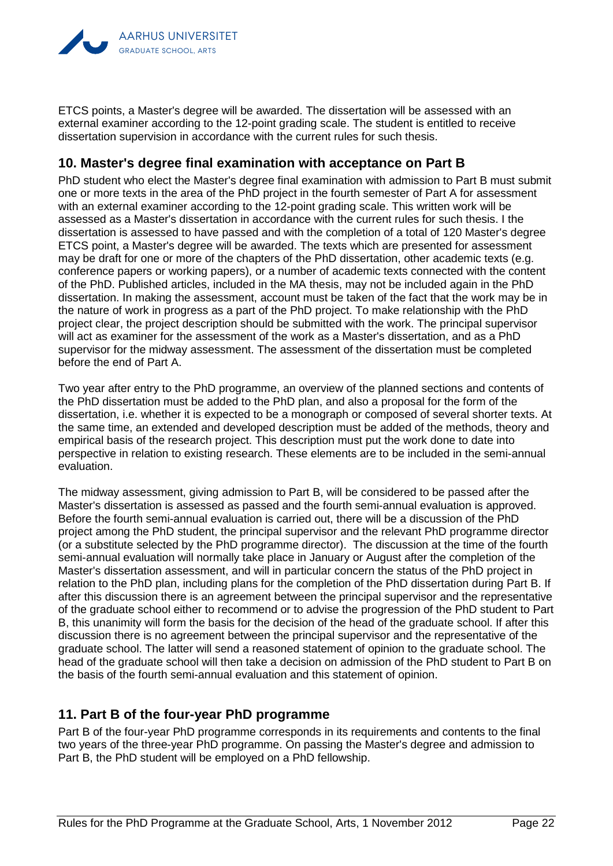

ETCS points, a Master's degree will be awarded. The dissertation will be assessed with an external examiner according to the 12-point grading scale. The student is entitled to receive dissertation supervision in accordance with the current rules for such thesis.

#### <span id="page-23-0"></span>**10. Master's degree final examination with acceptance on Part B**

PhD student who elect the Master's degree final examination with admission to Part B must submit one or more texts in the area of the PhD project in the fourth semester of Part A for assessment with an external examiner according to the 12-point grading scale. This written work will be assessed as a Master's dissertation in accordance with the current rules for such thesis. I the dissertation is assessed to have passed and with the completion of a total of 120 Master's degree ETCS point, a Master's degree will be awarded. The texts which are presented for assessment may be draft for one or more of the chapters of the PhD dissertation, other academic texts (e.g. conference papers or working papers), or a number of academic texts connected with the content of the PhD. Published articles, included in the MA thesis, may not be included again in the PhD dissertation. In making the assessment, account must be taken of the fact that the work may be in the nature of work in progress as a part of the PhD project. To make relationship with the PhD project clear, the project description should be submitted with the work. The principal supervisor will act as examiner for the assessment of the work as a Master's dissertation, and as a PhD supervisor for the midway assessment. The assessment of the dissertation must be completed before the end of Part A.

Two year after entry to the PhD programme, an overview of the planned sections and contents of the PhD dissertation must be added to the PhD plan, and also a proposal for the form of the dissertation, i.e. whether it is expected to be a monograph or composed of several shorter texts. At the same time, an extended and developed description must be added of the methods, theory and empirical basis of the research project. This description must put the work done to date into perspective in relation to existing research. These elements are to be included in the semi-annual evaluation.

The midway assessment, giving admission to Part B, will be considered to be passed after the Master's dissertation is assessed as passed and the fourth semi-annual evaluation is approved. Before the fourth semi-annual evaluation is carried out, there will be a discussion of the PhD project among the PhD student, the principal supervisor and the relevant PhD programme director (or a substitute selected by the PhD programme director). The discussion at the time of the fourth semi-annual evaluation will normally take place in January or August after the completion of the Master's dissertation assessment, and will in particular concern the status of the PhD project in relation to the PhD plan, including plans for the completion of the PhD dissertation during Part B. If after this discussion there is an agreement between the principal supervisor and the representative of the graduate school either to recommend or to advise the progression of the PhD student to Part B, this unanimity will form the basis for the decision of the head of the graduate school. If after this discussion there is no agreement between the principal supervisor and the representative of the graduate school. The latter will send a reasoned statement of opinion to the graduate school. The head of the graduate school will then take a decision on admission of the PhD student to Part B on the basis of the fourth semi-annual evaluation and this statement of opinion.

#### <span id="page-23-1"></span>**11. Part B of the four-year PhD programme**

Part B of the four-year PhD programme corresponds in its requirements and contents to the final two years of the three-year PhD programme. On passing the Master's degree and admission to Part B, the PhD student will be employed on a PhD fellowship.